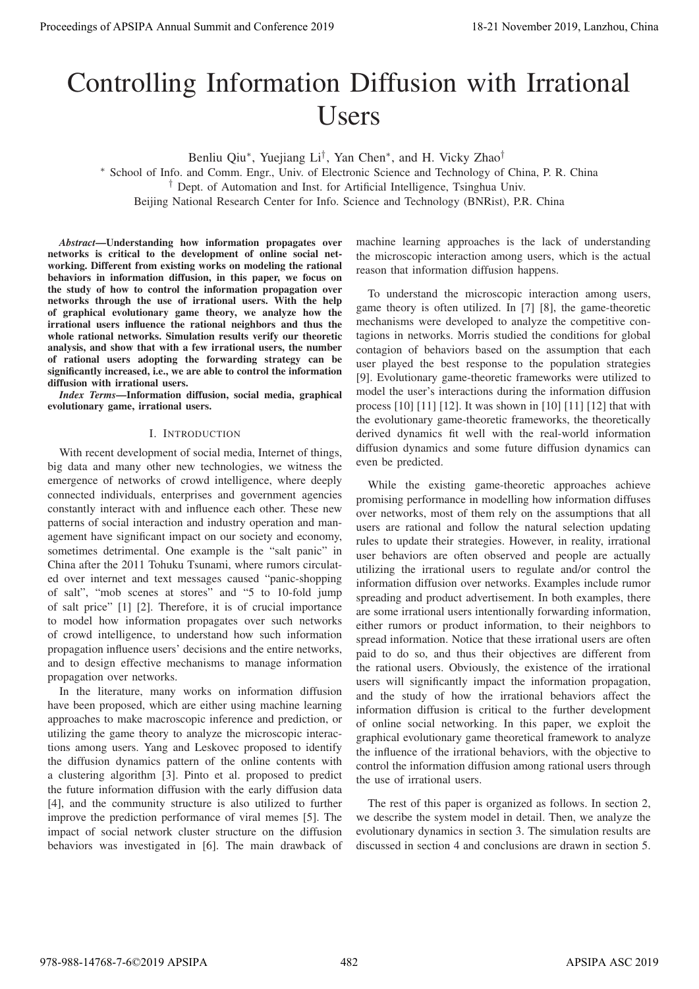# Controlling Information Diffusion with Irrational Users

Benliu Qiu∗, Yuejiang Li†, Yan Chen∗, and H. Vicky Zhao†

∗ School of Info. and Comm. Engr., Univ. of Electronic Science and Technology of China, P. R. China

† Dept. of Automation and Inst. for Artificial Intelligence, Tsinghua Univ.

Beijing National Research Center for Info. Science and Technology (BNRist), P.R. China

*Abstract*—Understanding how information propagates over networks is critical to the development of online social networking. Different from existing works on modeling the rational behaviors in information diffusion, in this paper, we focus on the study of how to control the information propagation over networks through the use of irrational users. With the help of graphical evolutionary game theory, we analyze how the irrational users influence the rational neighbors and thus the whole rational networks. Simulation results verify our theoretic analysis, and show that with a few irrational users, the number of rational users adopting the forwarding strategy can be significantly increased, i.e., we are able to control the information diffusion with irrational users.

*Index Terms*—Information diffusion, social media, graphical evolutionary game, irrational users.

#### I. INTRODUCTION

With recent development of social media, Internet of things, big data and many other new technologies, we witness the emergence of networks of crowd intelligence, where deeply connected individuals, enterprises and government agencies constantly interact with and influence each other. These new patterns of social interaction and industry operation and management have significant impact on our society and economy, sometimes detrimental. One example is the "salt panic" in China after the 2011 Tohuku Tsunami, where rumors circulated over internet and text messages caused "panic-shopping of salt", "mob scenes at stores" and "5 to 10-fold jump of salt price" [1] [2]. Therefore, it is of crucial importance to model how information propagates over such networks of crowd intelligence, to understand how such information propagation influence users' decisions and the entire networks, and to design effective mechanisms to manage information propagation over networks.

In the literature, many works on information diffusion have been proposed, which are either using machine learning approaches to make macroscopic inference and prediction, or utilizing the game theory to analyze the microscopic interactions among users. Yang and Leskovec proposed to identify the diffusion dynamics pattern of the online contents with a clustering algorithm [3]. Pinto et al. proposed to predict the future information diffusion with the early diffusion data [4], and the community structure is also utilized to further improve the prediction performance of viral memes [5]. The impact of social network cluster structure on the diffusion behaviors was investigated in [6]. The main drawback of

machine learning approaches is the lack of understanding the microscopic interaction among users, which is the actual reason that information diffusion happens.

To understand the microscopic interaction among users, game theory is often utilized. In [7] [8], the game-theoretic mechanisms were developed to analyze the competitive contagions in networks. Morris studied the conditions for global contagion of behaviors based on the assumption that each user played the best response to the population strategies [9]. Evolutionary game-theoretic frameworks were utilized to model the user's interactions during the information diffusion process [10] [11] [12]. It was shown in [10] [11] [12] that with the evolutionary game-theoretic frameworks, the theoretically derived dynamics fit well with the real-world information diffusion dynamics and some future diffusion dynamics can even be predicted.

While the existing game-theoretic approaches achieve promising performance in modelling how information diffuses over networks, most of them rely on the assumptions that all users are rational and follow the natural selection updating rules to update their strategies. However, in reality, irrational user behaviors are often observed and people are actually utilizing the irrational users to regulate and/or control the information diffusion over networks. Examples include rumor spreading and product advertisement. In both examples, there are some irrational users intentionally forwarding information, either rumors or product information, to their neighbors to spread information. Notice that these irrational users are often paid to do so, and thus their objectives are different from the rational users. Obviously, the existence of the irrational users will significantly impact the information propagation, and the study of how the irrational behaviors affect the information diffusion is critical to the further development of online social networking. In this paper, we exploit the graphical evolutionary game theoretical framework to analyze the influence of the irrational behaviors, with the objective to control the information diffusion among rational users through the use of irrational users. Procedure of APSIPA Annual Summit at Co-Co-co-2019<br>
Conference 2019<br>
Conference 2019<br>
Conference 2019<br>
Conference 2019<br>
Conference 2019<br>
Conference 2019<br>
Conference 2019<br>
Conference 2019<br>
Conference 2019<br>
Conference 2019<br>

The rest of this paper is organized as follows. In section 2, we describe the system model in detail. Then, we analyze the evolutionary dynamics in section 3. The simulation results are discussed in section 4 and conclusions are drawn in section 5.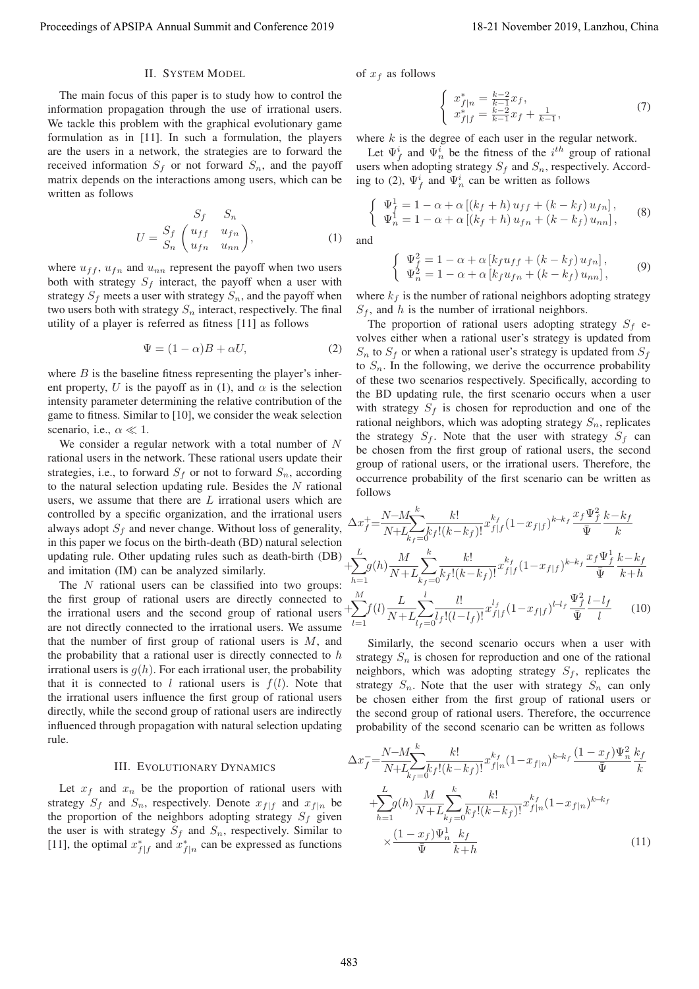# II. SYSTEM MODEL

The main focus of this paper is to study how to control the information propagation through the use of irrational users. We tackle this problem with the graphical evolutionary game formulation as in [11]. In such a formulation, the players are the users in a network, the strategies are to forward the received information  $S_f$  or not forward  $S_n$ , and the payoff matrix depends on the interactions among users, which can be written as follows

$$
S_f \t S_n
$$
  
\n
$$
U = \frac{S_f}{S_n} \begin{pmatrix} u_{ff} & u_{fn} \\ u_{fn} & u_{nn} \end{pmatrix},
$$
\n(1)

where  $u_{ff}$ ,  $u_{fn}$  and  $u_{nn}$  represent the payoff when two users both with strategy  $S_f$  interact, the payoff when a user with strategy  $S_f$  meets a user with strategy  $S_n$ , and the payoff when two users both with strategy  $S_n$  interact, respectively. The final utility of a player is referred as fitness [11] as follows

$$
\Psi = (1 - \alpha)B + \alpha U,\tag{2}
$$

where  $B$  is the baseline fitness representing the player's inherent property, U is the payoff as in (1), and  $\alpha$  is the selection intensity parameter determining the relative contribution of the game to fitness. Similar to [10], we consider the weak selection scenario, i.e.,  $\alpha \ll 1$ .<br>We consider a reg

We consider a regular network with a total number of N rational users in the network. These rational users update their strategies, i.e., to forward  $S_f$  or not to forward  $S_n$ , according to the natural selection updating rule. Besides the  $N$  rational users, we assume that there are  $L$  irrational users which are controlled by a specific organization, and the irrational users always adopt  $S_f$  and never change. Without loss of generality, in this paper we focus on the birth-death (BD) natural selection updating rule. Other updating rules such as death-birth  $(DB)$ and imitation (IM) can be analyzed similarly.

The  $N$  rational users can be classified into two groups: the first group of rational users are directly connected to the irrational users and the second group of rational users  $+$ are not directly connected to the irrational users. We assume that the number of first group of rational users is  $M$ , and the probability that a rational user is directly connected to  $h$ irrational users is  $q(h)$ . For each irrational user, the probability that it is connected to l rational users is  $f(l)$ . Note that the irrational users influence the first group of rational users directly, while the second group of rational users are indirectly influenced through propagation with natural selection updating rule.

## III. EVOLUTIONARY DYNAMICS

Let  $x_f$  and  $x_n$  be the proportion of rational users with strategy  $S_f$  and  $S_n$ , respectively. Denote  $x_{f|f}$  and  $x_{f|n}$  be the proportion of the neighbors adopting strategy  $S_f$  given the user is with strategy  $S_f$  and  $S_n$ , respectively. Similar to [11], the optimal  $x_{f|f}^*$  and  $x_{f|n}^*$  can be expressed as functions of  $x_f$  as follows

$$
\begin{cases}\n x_{f|n}^* = \frac{k-2}{k-1} x_f, \\
 x_{f|f}^* = \frac{k-2}{k-1} x_f + \frac{1}{k-1},\n\end{cases} (7)
$$

where  $k$  is the degree of each user in the regular network.

Let  $\Psi_j^i$  and  $\Psi_n^i$  be the fitness of the  $i^{th}$  group of rational<br>ers when adopting strategy  $S_k$  and  $S_k$  respectively. Accordusers when adopting strategy  $S_f$  and  $S_n$ , respectively. According to (2),  $\Psi_f^i$  and  $\Psi_n^i$  can be written as follows

$$
\begin{cases} \Psi_f^1 = 1 - \alpha + \alpha [(k_f + h) u_{ff} + (k - k_f) u_{fn}], \\ \Psi_n^1 = 1 - \alpha + \alpha [(k_f + h) u_{fn} + (k - k_f) u_{nn}], \end{cases}
$$
 (8)

and

$$
\begin{cases}\n\Psi_f^2 = 1 - \alpha + \alpha \left[ k_f u_{ff} + (k - k_f) u_{fn} \right], \\
\Psi_n^2 = 1 - \alpha + \alpha \left[ k_f u_{fn} + (k - k_f) u_{nn} \right],\n\end{cases} \tag{9}
$$

where  $k_f$  is the number of rational neighbors adopting strategy  $S_f$ , and h is the number of irrational neighbors.

The proportion of rational users adopting strategy  $S_f$  evolves either when a rational user's strategy is updated from  $S_n$  to  $S_f$  or when a rational user's strategy is updated from  $S_f$ to  $S_n$ . In the following, we derive the occurrence probability of these two scenarios respectively. Specifically, according to the BD updating rule, the first scenario occurs when a user with strategy  $S_f$  is chosen for reproduction and one of the rational neighbors, which was adopting strategy  $S_n$ , replicates the strategy  $S_f$ . Note that the user with strategy  $S_f$  can be chosen from the first group of rational users, the second group of rational users, or the irrational users. Therefore, the occurrence probability of the first scenario can be written as follows Proceedings of APSIPA Annual Summit and Conference 2019 18-21 November 2019, Lanzhou, China 483

$$
\Delta x_f^+ = \frac{N - M \sum_{k_f=0}^k k!}{N + L \sum_{k_f=0}^k k_f! (k - k_f)!} x_{f|f}^{k_f} (1 - x_{f|f})^{k - k_f} \frac{x_f \Psi_f^2}{\overline{\Psi}} \frac{k - k_f}{k}
$$
  
+
$$
\sum_{h=1}^L g(h) \frac{M}{N + L \sum_{k_f=0}^k k_f! (k - k_f)!} x_{f|f}^{k_f} (1 - x_{f|f})^{k - k_f} \frac{x_f \Psi_f^1}{\overline{\Psi}} \frac{k - k_f}{k + h}
$$
  
+
$$
\sum_{l=1}^M f(l) \frac{L}{N + L \sum_{l_f=0}^l l_f! (l - l_f)!} x_{f|f}^{l_f} (1 - x_{f|f})^{l - l_f} \frac{\Psi_f^2}{\overline{\Psi}} \frac{l - l_f}{l}
$$
(10)

Similarly, the second scenario occurs when a user with strategy  $S_n$  is chosen for reproduction and one of the rational neighbors, which was adopting strategy  $S_f$ , replicates the strategy  $S_n$ . Note that the user with strategy  $S_n$  can only be chosen either from the first group of rational users or the second group of rational users. Therefore, the occurrence probability of the second scenario can be written as follows

$$
\Delta x_f^2 = \frac{N - M}{N + L_{k_f = 0}} \frac{k!}{k_f! (k - k_f)!} x_{f|n}^{k_f} (1 - x_{f|n})^{k - k_f} \frac{(1 - x_f) \Psi_n^2}{\bar{\Psi}} \frac{k_f}{k} + \sum_{h=1}^L g(h) \frac{M}{N + L_{k_f = 0}} \sum_{k_f = 0}^k \frac{k!}{k_f! (k - k_f)!} x_{f|n}^{k_f} (1 - x_{f|n})^{k - k_f} \times \frac{(1 - x_f) \Psi_n^1}{\bar{\Psi}} \frac{k_f}{k + h}
$$
\n(11)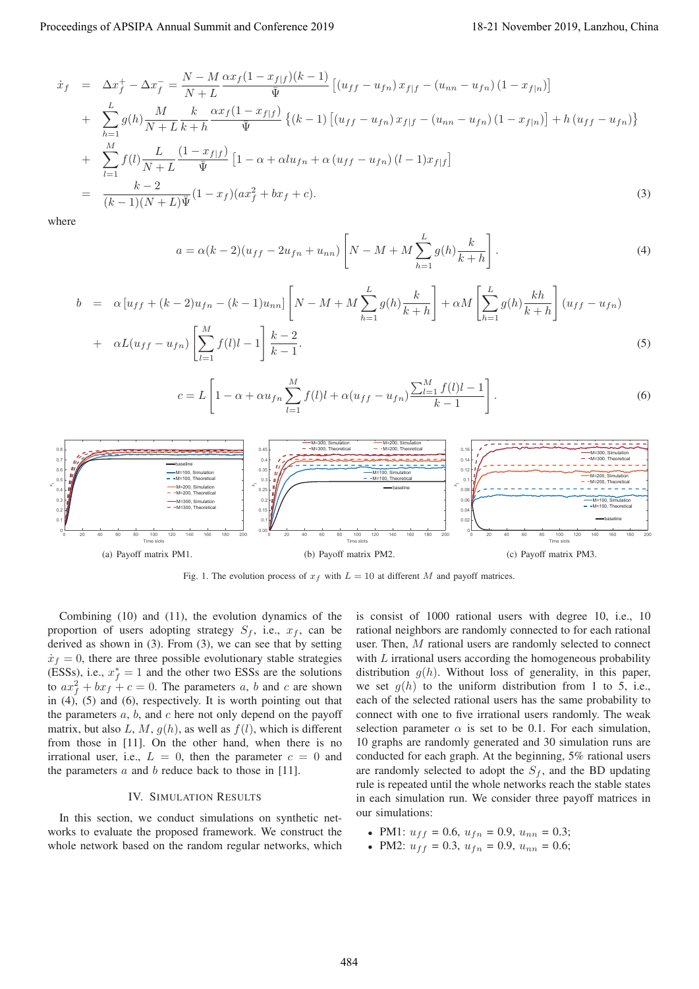$$
\dot{x}_f = \Delta x_f^+ - \Delta x_f^- = \frac{N - M}{N + L} \frac{\alpha x_f (1 - x_{f|f})(k - 1)}{\bar{\Psi}} \left[ (u_{ff} - u_{fn}) x_{f|f} - (u_{nn} - u_{fn}) (1 - x_{f|n}) \right] \n+ \sum_{h=1}^L g(h) \frac{M}{N + L} \frac{k}{k + h} \frac{\alpha x_f (1 - x_{f|f})}{\bar{\Psi}} \left\{ (k - 1) \left[ (u_{ff} - u_{fn}) x_{f|f} - (u_{nn} - u_{fn}) (1 - x_{f|n}) \right] + h (u_{ff} - u_{fn}) \right\} \n+ \sum_{l=1}^M f(l) \frac{L}{N + L} \frac{(1 - x_{f|f})}{\bar{\Psi}} \left[ 1 - \alpha + \alpha l u_{fn} + \alpha (u_{ff} - u_{fn}) (l - 1) x_{f|f} \right] \n= \frac{k - 2}{(k - 1)(N + L)\bar{\Psi}} (1 - x_f) (\alpha x_f^2 + b x_f + c).
$$
\n(3)

where

$$
a = \alpha(k-2)(u_{ff} - 2u_{fn} + u_{nn}) \left[ N - M + M \sum_{h=1}^{L} g(h) \frac{k}{k+h} \right].
$$
 (4)

$$
b = \alpha [u_{ff} + (k-2)u_{fn} - (k-1)u_{nn}] \left[ N - M + M \sum_{h=1}^{L} g(h) \frac{k}{k+h} \right] + \alpha M \left[ \sum_{h=1}^{L} g(h) \frac{kh}{k+h} \right] (u_{ff} - u_{fn})
$$
  
+  $\alpha L (u_{ff} - u_{fn}) \left[ \sum_{l=1}^{M} f(l)l - 1 \right] \frac{k-2}{k-1}.$  (5)

$$
c = L \left[ 1 - \alpha + \alpha u_{fn} \sum_{l=1}^{M} f(l)l + \alpha (u_{ff} - u_{fn}) \frac{\sum_{l=1}^{M} f(l)l - 1}{k - 1} \right].
$$
 (6)



Fig. 1. The evolution process of  $x_f$  with  $L = 10$  at different M and payoff matrices.

Combining (10) and (11), the evolution dynamics of the proportion of users adopting strategy  $S_f$ , i.e.,  $x_f$ , can be derived as shown in (3). From (3), we can see that by setting  $\dot{x}_f = 0$ , there are three possible evolutionary stable strategies (ESSs), i.e.,  $x_f^* = 1$  and the other two ESSs are the solutions<br>to  $ax^2 + bx + c = 0$ . The parameters a h and c are shown to  $ax_j^2 + bx_j + c = 0$ . The parameters a, b and c are shown<br>in (4) (5) and (6) respectively. It is worth pointing out that in  $(4)$ ,  $(5)$  and  $(6)$ , respectively. It is worth pointing out that the parameters  $a, b$ , and  $c$  here not only depend on the payoff matrix, but also L, M,  $g(h)$ , as well as  $f(l)$ , which is different from those in [11]. On the other hand, when there is no irrational user, i.e.,  $L = 0$ , then the parameter  $c = 0$  and the parameters  $a$  and  $b$  reduce back to those in [11].

#### IV. SIMULATION RESULTS

In this section, we conduct simulations on synthetic networks to evaluate the proposed framework. We construct the whole network based on the random regular networks, which is consist of 1000 rational users with degree 10, i.e., 10 rational neighbors are randomly connected to for each rational user. Then, M rational users are randomly selected to connect with  $L$  irrational users according the homogeneous probability distribution  $g(h)$ . Without loss of generality, in this paper, we set  $g(h)$  to the uniform distribution from 1 to 5, i.e., each of the selected rational users has the same probability to connect with one to five irrational users randomly. The weak selection parameter  $\alpha$  is set to be 0.1. For each simulation, 10 graphs are randomly generated and 30 simulation runs are conducted for each graph. At the beginning, 5% rational users are randomly selected to adopt the  $S_f$ , and the BD updating rule is repeated until the whole networks reach the stable states in each simulation run. We consider three payoff matrices in our simulations:

- PM1:  $u_{ff} = 0.6$ ,  $u_{fn} = 0.9$ ,  $u_{nn} = 0.3$ ;
- PM2:  $u_{ff} = 0.3$ ,  $u_{fn} = 0.9$ ,  $u_{nn} = 0.6$ ;